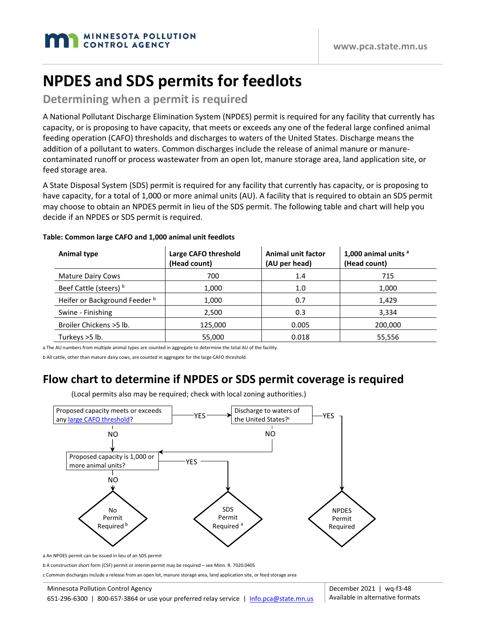# **NPDES and SDS permits for feedlots**

#### **Determining when a permit is required**

A National Pollutant Discharge Elimination System (NPDES) permit is required for any facility that currently has capacity, or is proposing to have capacity, that meets or exceeds any one of the federal large confined animal feeding operation (CAFO) thresholds and discharges to waters of the United States. Discharge means the addition of a pollutant to waters. Common discharges include the release of animal manure or manurecontaminated runoff or process wastewater from an open lot, manure storage area, land application site, or feed storage area.

A State Disposal System (SDS) permit is required for any facility that currently has capacity, or is proposing to have capacity, for a total of 1,000 or more animal units (AU). A facility that is required to obtain an SDS permit may choose to obtain an NPDES permit in lieu of the SDS permit. The following table and chart will help you decide if an NPDES or SDS permit is required.

| Animal type                              | Large CAFO threshold<br>(Head count) | Animal unit factor<br>(AU per head) | 1,000 animal units <sup>a</sup><br>(Head count) |
|------------------------------------------|--------------------------------------|-------------------------------------|-------------------------------------------------|
| <b>Mature Dairy Cows</b>                 | 700                                  | 1.4                                 | 715                                             |
| Beef Cattle (steers) b                   | 1,000                                | 1.0                                 | 1,000                                           |
| Heifer or Background Feeder <sup>b</sup> | 1.000                                | 0.7                                 | 1,429                                           |
| Swine - Finishing                        | 2,500                                | 0.3                                 | 3,334                                           |
| Broiler Chickens > 5 lb.                 | 125.000                              | 0.005                               | 200,000                                         |
| Turkeys >5 lb.                           | 55,000                               | 0.018                               | 55,556                                          |

#### **Table: Common large CAFO and 1,000 animal unit feedlots**

a The AU numbers from multiple animal types are counted in aggregate to determine the total AU of the facility.

b All cattle, other than mature dairy cows, are counted in aggregate for the large CAFO threshold.

### **Flow chart to determine if NPDES or SDS permit coverage is required**



(Local permits also may be required; check with local zoning authorities.)

a An NPDES permit can be issued in lieu of an SDS permit

b A construction short form (CSF) permit or interim permit may be required – see Minn. R. 7020.0405

c Common discharges include a release from an open lot, manure storage area, land application site, or feed storage area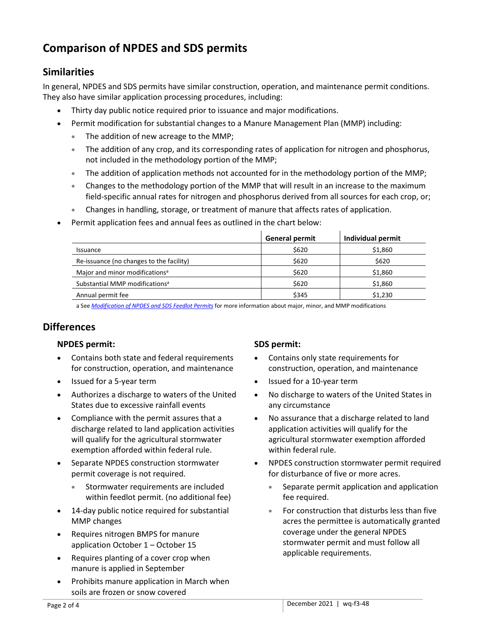## **Comparison of NPDES and SDS permits**

### **Similarities**

In general, NPDES and SDS permits have similar construction, operation, and maintenance permit conditions. They also have similar application processing procedures, including:

- Thirty day public notice required prior to issuance and major modifications.
- Permit modification for substantial changes to a Manure Management Plan (MMP) including:
	- The addition of new acreage to the MMP;
	- The addition of any crop, and its corresponding rates of application for nitrogen and phosphorus, not included in the methodology portion of the MMP;
	- The addition of application methods not accounted for in the methodology portion of the MMP;
	- Changes to the methodology portion of the MMP that will result in an increase to the maximum field-specific annual rates for nitrogen and phosphorus derived from all sources for each crop, or;
	- Changes in handling, storage, or treatment of manure that affects rates of application.
- Permit application fees and annual fees as outlined in the chart below:

|                                            | <b>General permit</b> | Individual permit |
|--------------------------------------------|-----------------------|-------------------|
| <i><b>Issuance</b></i>                     | \$620                 | \$1,860           |
| Re-issuance (no changes to the facility)   | \$620                 | \$620             |
| Major and minor modifications <sup>a</sup> | \$620                 | \$1,860           |
| Substantial MMP modifications <sup>a</sup> | \$620                 | \$1,860           |
| Annual permit fee                          | \$345                 | \$1,230           |

a See *[Modification of NPDES and SDS Feedlot Permits](https://www.pca.state.mn.us/sites/default/files/wq-f3-49.pdf)* for more information about major, minor, and MMP modifications

#### **Differences**

#### **NPDES permit:**

- Contains both state and federal requirements for construction, operation, and maintenance
- Issued for a 5-year term
- Authorizes a discharge to waters of the United States due to excessive rainfall events
- Compliance with the permit assures that a discharge related to land application activities will qualify for the agricultural stormwater exemption afforded within federal rule.
- Separate NPDES construction stormwater permit coverage is not required.
	- Stormwater requirements are included within feedlot permit. (no additional fee)
- 14-day public notice required for substantial MMP changes
- Requires nitrogen BMPS for manure application October 1 – October 15
- Requires planting of a cover crop when manure is applied in September
- Prohibits manure application in March when soils are frozen or snow covered

#### **SDS permit:**

- Contains only state requirements for construction, operation, and maintenance
- Issued for a 10-year term
- No discharge to waters of the United States in any circumstance
- No assurance that a discharge related to land application activities will qualify for the agricultural stormwater exemption afforded within federal rule.
- NPDES construction stormwater permit required for disturbance of five or more acres.
	- Separate permit application and application fee required.
	- For construction that disturbs less than five acres the permittee is automatically granted coverage under the general NPDES stormwater permit and must follow all applicable requirements.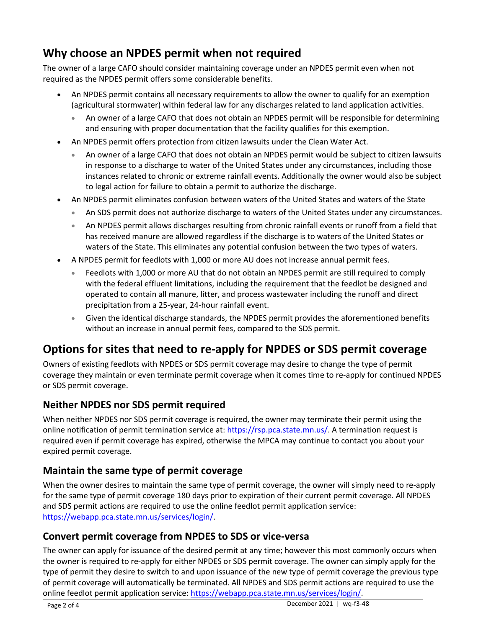### **Why choose an NPDES permit when not required**

The owner of a large CAFO should consider maintaining coverage under an NPDES permit even when not required as the NPDES permit offers some considerable benefits.

- An NPDES permit contains all necessary requirements to allow the owner to qualify for an exemption (agricultural stormwater) within federal law for any discharges related to land application activities.
	- An owner of a large CAFO that does not obtain an NPDES permit will be responsible for determining and ensuring with proper documentation that the facility qualifies for this exemption.
- An NPDES permit offers protection from citizen lawsuits under the Clean Water Act.
	- An owner of a large CAFO that does not obtain an NPDES permit would be subject to citizen lawsuits in response to a discharge to water of the United States under any circumstances, including those instances related to chronic or extreme rainfall events. Additionally the owner would also be subject to legal action for failure to obtain a permit to authorize the discharge.
- An NPDES permit eliminates confusion between waters of the United States and waters of the State
	- An SDS permit does not authorize discharge to waters of the United States under any circumstances.
	- An NPDES permit allows discharges resulting from chronic rainfall events or runoff from a field that has received manure are allowed regardless if the discharge is to waters of the United States or waters of the State. This eliminates any potential confusion between the two types of waters.
- A NPDES permit for feedlots with 1,000 or more AU does not increase annual permit fees.
	- Feedlots with 1,000 or more AU that do not obtain an NPDES permit are still required to comply with the federal effluent limitations, including the requirement that the feedlot be designed and operated to contain all manure, litter, and process wastewater including the runoff and direct precipitation from a 25-year, 24-hour rainfall event.
	- Given the identical discharge standards, the NPDES permit provides the aforementioned benefits without an increase in annual permit fees, compared to the SDS permit.

### **Options for sites that need to re-apply for NPDES or SDS permit coverage**

Owners of existing feedlots with NPDES or SDS permit coverage may desire to change the type of permit coverage they maintain or even terminate permit coverage when it comes time to re-apply for continued NPDES or SDS permit coverage.

### **Neither NPDES nor SDS permit required**

When neither NPDES nor SDS permit coverage is required, the owner may terminate their permit using the online notification of permit termination service at: [https://rsp.pca.state.mn.us/.](https://rsp.pca.state.mn.us/) A termination request is required even if permit coverage has expired, otherwise the MPCA may continue to contact you about your expired permit coverage.

### **Maintain the same type of permit coverage**

When the owner desires to maintain the same type of permit coverage, the owner will simply need to re-apply for the same type of permit coverage 180 days prior to expiration of their current permit coverage. All NPDES and SDS permit actions are required to use the online feedlot permit application service: [https://webapp.pca.state.mn.us/services/login/.](https://webapp.pca.state.mn.us/services/login/)

### **Convert permit coverage from NPDES to SDS or vice-versa**

The owner can apply for issuance of the desired permit at any time; however this most commonly occurs when the owner is required to re-apply for either NPDES or SDS permit coverage. The owner can simply apply for the type of permit they desire to switch to and upon issuance of the new type of permit coverage the previous type of permit coverage will automatically be terminated. All NPDES and SDS permit actions are required to use the online feedlot permit application service: [https://webapp.pca.state.mn.us/services/login/.](https://webapp.pca.state.mn.us/services/login/)